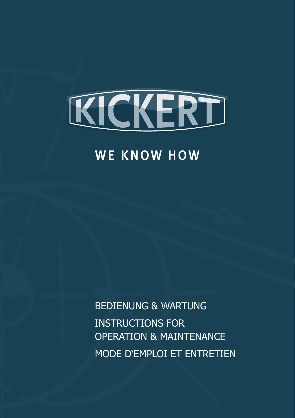

## **WE KNOW HOW**

BEDIENUNG & WARTUNG INSTRUCTIONS FOR OPERATION & MAINTENANCE MODE D'EMPLOI ET ENTRETIEN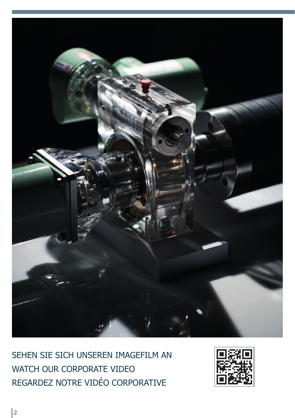

SEHEN SIE SICH UNSEREN IMAGEFILM AN WATCH OUR CORPORATE VIDEO REGARDEZ NOTRE VIDÉO CORPORATIVE

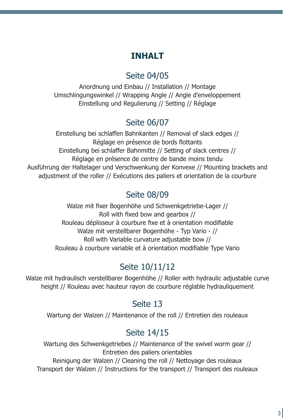### **INHALT**

### Seite 04/05

Anordnung und Einbau // Installation // Montage Umschlingungswinkel // Wrapping Angle // Angle d'enveloppement Einstellung und Regulierung // Setting // Réglage

### Seite 06/07

Einstellung bei schlaffen Bahnkanten // Removal of slack edges // Réglage en présence de bords flottants Einstellung bei schlaffer Bahnmitte // Setting of slack centres // Réglage en présence de centre de bande moins tendu Ausführung der Haltelager und Verschwenkung der Konvexe // Mounting brackets and adiustment of the roller // Exécutions des paliers et orientation de la courbure

### Seite 08/09

Walze mit fixer Bogenhöhe und Schwenkgetriebe-Lager // Roll with fixed bow and gearbox // Rouleau déplisseur à courbure fixe et à orientation modifiable Walze mit verstellbarer Bogenhöhe - Typ Vario - // Roll with Variable curvature adjustable bow // Rouleau à courbure variable et à orientation modifiable Type Vario

### Seite 10/11/12

Walze mit hydraulisch verstellbarer Bogenhöhe // Roller with hydraulic adjustable curve height // Rouleau avec hauteur rayon de courbure réglable hydrauliquement

### Seite 13

Wartung der Walzen // Maintenance of the roll // Entretien des rouleaux

### Seite 14/15

Wartung des Schwenkgetriebes // Maintenance of the swivel worm gear // Entretien des paliers orientables Reinigung der Walzen // Cleaning the roll // Nettoyage des rouleaux Transport der Walzen // Instructions for the transport // Transport des rouleaux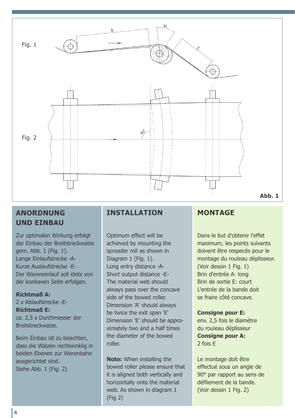

#### **ANORDNUNG UND EINBAU**

Zur optimalen Wirkung erfolgt der Einbau der Breitstreckwalze gem. Abb. 1 (Fig. 1). Lange Einlaufstrecke -A-Kurze Auslaufstrecke -E-Der Wareneinlauf soll stets von der konkaven Seite erfolgen.

**Richtmaß A:** 2 x Ablaufstrecke -E-**Richtmaß E:** ca. 2,5 x Durchmesser der Breitstreckwalze.

Beim Einbau ist zu beachten, dass die Walzen rechtwinklig in beiden Ebenen zur Warenbahn ausgerichtet sind. Siehe Abb. 1 (Fig. 2)

#### **INSTALLATION**

Optimum effect will be achieved by mounting the spreader roll as shown in Diagram 1 (Fig. 1). Long entry distance -A-Short output distance -E-The material web should always pass over the concave side of the bowed roller. Dimension 'A' should always be twice the exit span 'E' Dimension 'E' should be approximately two and a half times the diameter of the bowed roller.

**Note:** When installing the bowed roller please ensure that it is aligned both vertically and horizontally onto the material web. As shown in diagram 1 (Fig 2)

#### **MONTAGE**

Dans le but d'obtenir l'effet maximum, les points suivants doivent être respecés pour le montage du rouleau déplisseur. (Voir dessin 1 Fig. 1) Brin d'entrée A: long Brin de sortie E: court L'entrée de la bande doit se fraire côté concave.

#### **Consigne pour E:** env. 2,5 fois le diamètre du rouleau déplisseur **Consigne pour A:**

2 fois E

Le montage doit être effectué sous un angle de 90° par rapport au sens de défilement de la bande. (Voir dessin 1 Fig. 2)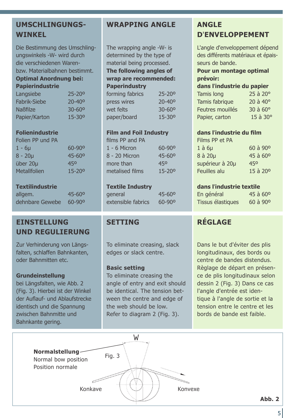#### **UMSCHLINGUNGS-WINKEL**

Die Bestimmung des Umschlingungswinkels -W- wird durch die verschiedenen Warenbzw. Materialbahnen bestimmt. **Optimal Anordnung bei:**

### **Papierindustrie**

| Langsiebe       | $25 - 20^{\circ}$ |
|-----------------|-------------------|
| Fabrik-Siebe    | $20 - 40^{\circ}$ |
| <b>Naßfilze</b> | 30-60°            |
| Papier/Karton   | $15 - 30^{\circ}$ |

#### **Folienindustrie**

| Folien PP und PA |                        |
|------------------|------------------------|
| 1 - 6µ           | $60 - 90$ <sup>o</sup> |
| $8 - 20\mu$      | $45 - 60^{\circ}$      |
| über 20µ         | 450                    |
| Metallfolien     | $15 - 20^{\circ}$      |

#### **Textilindustrie**

| allgem.         | $45 - 60^{\circ}$      |
|-----------------|------------------------|
| dehnbare Gewebe | $60 - 90$ <sup>o</sup> |

#### **EINSTELLUNG UND REGULIERUNG**

Zur Verhinderung von Längsfalten, schlaffen Bahnkanten, oder Bahnmitten etc.

#### **Grundeinstellung**

bei Längsfalten, wie Abb. 2 (Fig. 3). Hierbei ist der Winkel der Auflauf- und Ablaufstrecke identisch und die Spannung zwischen Bahnmitte und Bahnkante gering.

#### **WRAPPING ANGLE ANGLE**

The wrapping angle -W- is determined by the type of material being processed. **The following angles of wrap are recommended: Paperindustry** forming fabrics 25-20º

| press wires | $20 - 40^{\circ}$ |
|-------------|-------------------|
| wet felts   | $30 - 60^{\circ}$ |
| paper/board | $15 - 30^{\circ}$ |

#### **Film and Foil Industry**

| films PP and PA |                        |
|-----------------|------------------------|
| $1 - 6$ Micron  | $60 - 90$ <sup>o</sup> |
| 8 - 20 Micron   | $45 - 60^{\circ}$      |
| more than       | 450                    |
| metalised films | $15 - 200$             |

#### **Textile Industry**

general 45-60º extensible fabrics 60-90º

To eliminate creasing, slack edges or slack centre.

#### **Basic setting**

To eliminate creasing the angle of entry and exit should be identical. The tension between the centre and edge of the web should be low. Refer to diagram 2 (Fig. 3).

# **D**'**ENVELOPPEMENT**

L'angle d'enveloppement dépend des différents matériaux et épaisseurs de bande.

#### **Pour un montage optimal prévoir:**

| dans l'industrie du papier |                     |
|----------------------------|---------------------|
| Tamis long                 | $25$ à $20^{\circ}$ |
| Tamis fabrique             | $20$ à $40^{\circ}$ |
| Feutres mouillés           | 30 à 60°            |
| Papier, carton             | 15 à 30°            |

#### **dans l**'**industrie du film**

| $60$ à $90^{\circ}$ |
|---------------------|
| 45 à 60°            |
| 450                 |
| 15 à 20°            |
|                     |

#### **dans l**'**industrie textile**

| En général        | $45$ à $60^{\circ}$ |
|-------------------|---------------------|
| Tissus élastiques | 60 à 90°            |

#### **SETTING RÉGLAGE**

Dans le but d'éviter des plis longitudinaux, des bords ou centre de bandes distendus. Règlage de départ en présence de plis longitudinaux selon dessin 2 (Fig. 3) Dans ce cas l'angle d'entrée est identique à l'angle de sortie et la tension entre le centre et les bords de bande est faible.

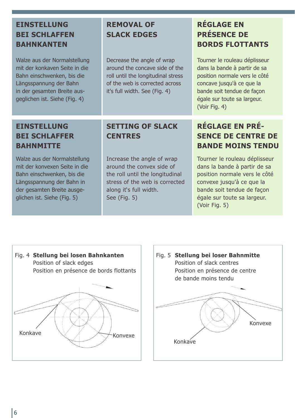### **EINSTELLUNG BEI SCHLAFFEN BAHNKANTEN**

Walze aus der Normalstellung mit der konkaven Seite in die Bahn einschwenken, bis die Längsspannung der Bahn in der gesamten Breite ausgeglichen ist. Siehe (Fig. 4)

### **REMOVAL OF SLACK EDGES**

Decrease the angle of wrap around the concave side of the roll until the longitudinal stress of the web is corrected across it's full width. See (Fig. 4)

### **RÉGLAGE EN PRÉSENCE DE BORDS FLOTTANTS**

Tourner le rouleau déplisseur dans la bande à partir de sa position normale vers le côté concave jusqu'à ce que la bande soit tendue de façon égale sur toute sa largeur. (Voir Fig. 4)

#### **EINSTELLUNG BEI SCHLAFFER BAHNMITTE**

Walze aus der Normalstellung mit der konvexen Seite in die Bahn einschwenken, bis die Längsspannung der Bahn in der gesamten Breite ausgeglichen ist. Siehe (Fig. 5)

#### **SETTING OF SLACK CENTRES**

Increase the angle of wrap around the convex side of the roll until the longitudinal stress of the web is corrected along it's full width. See (Fig. 5)

### **RÉGLAGE EN PRÉ-SENCE DE CENTRE DE BANDE MOINS TENDU**

Tourner le rouleau déplisseur dans la bande à partir de sa position normale vers le côté convexe jusqu'à ce que la bande soit tendue de façon égale sur toute sa largeur. (Voir Fig. 5)



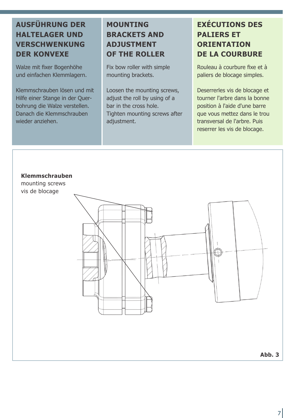### **AUSFÜHRUNG DER HALTELAGER UND VERSCHWENKUNG DER KONVEXE**

Walze mit fixer Bogenhöhe und einfachen Klemmlagern.

Klemmschrauben lösen und mit Hilfe einer Stange in der Querbohrung die Walze verstellen. Danach die Klemmschrauben wieder anziehen.

### **MOUNTING BRACKETS AND ADJUSTMENT OF THE ROLLER**

Fix bow roller with simple mounting brackets.

Loosen the mounting screws, adjust the roll by using of a bar in the cross hole. Tighten mounting screws after adjustment.

### **EXÉCUTIONS DES PALIERS ET ORIENTATION DE LA COURBURE**

Rouleau à courbure fixe et à paliers de blocage simples.

Deserrerles vis de blocage et tourner l'arbre dans la bonne position à l'aide d'une barre que vous mettez dans le trou transversal de l'arbre. Puis reserrer les vis de blocage.

#### **Klemmschrauben**

mounting screws vis de blocage



**Abb. 3**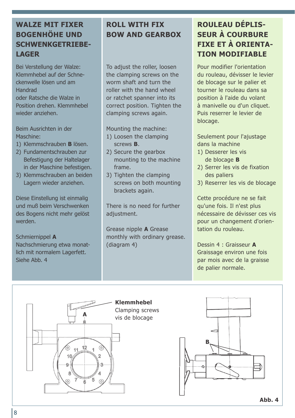### **WALZE MIT FIXER BOGENHÖHE UND SCHWENKGETRIEBE-LAGER**

Bei Verstellung der Walze: Klemmhebel auf der Schneckenwelle lösen und am Handrad oder Ratsche die Walze in Position drehen. Klemmhebel wieder anziehen.

Beim Ausrichten in der Maschine:

- 1) Klemmschrauben **B** lösen.
- 2) Fundamentschrauben zur Befestigung der Haltelager in der Maschine befestigen.
- 3) Klemmschrauben an beiden Lagern wieder anziehen.

Diese Einstellung ist einmalig und muß beim Verschwenken des Bogens nicht mehr gelöst werden.

Schmiernippel **A** Nachschmierung etwa monatlich mit normalem Lagerfett. Siehe Abb. 4

### **ROLL WITH FIX BOW AND GEARBOX**

To adjust the roller, loosen the clamping screws on the worm shaft and turn the roller with the hand wheel or ratchet spanner into its correct position. Tighten the clamping screws again.

Mounting the machine:

- 1) Loosen the clamping screws **B**.
- 2) Secure the gearbox mounting to the machine frame.
- 3) Tighten the clamping screws on both mounting brackets again.

There is no need for further adjustment.

Grease nipple **A** Grease monthly with ordinary grease. (diagram 4)

### **ROULEAU DÉPLIS-SEUR À COURBURE FIXE ET À ORIENTA-TION MODIFIABLE**

Pour modifier l'orientation du rouleau, dévisser le levier de blocage sur le palier et tourner le rouleau dans sa position à l'aide du volant à manivelle ou d'un cliquet. Puis reserrer le levier de blocage.

Seulement pour l'ajustage dans la machine

- 1) Desserer les vis de blocage **B**
- 2) Serrer les vis de fixation des paliers
- 3) Reserrer les vis de blocage

Cette procédure ne se fait qu'une fois. Il n'est plus nécessaire de dévisser ces vis pour un changement d'orientation du rouleau.

Dessin 4 : Graisseur **A** Graissage environ une fois par mois avec de la graisse de palier normale.

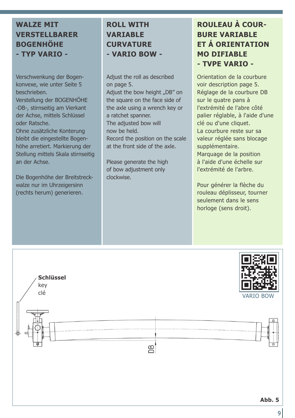#### **WALZE MIT VERSTELLBARER BOGENHÖHE - TYP VARIO -**

Verschwenkung der Bogenkonvexe, wie unter Seite 5 beschrieben.

Verstellung der BOGENHÖHE -DB-, stirnseitig am Vierkant der Achse, mittels Schlüssel oder Ratsche.

Ohne zusätzliche Konterung bleibt die eingestellte Bogenhöhe arretiert. Markierung der Stellung mittels Skala stirnseitig an der Achse.

Die Bogenhöhe der Breitstreckwalze nur im Uhrzeigersinn (rechts herum) generieren.

#### **ROLL WITH VARIABLE CURVATURE - VARIO BOW -**

Adjust the roll as described on page 5. Adjust the bow height ..DB" on the square on the face side of the axle using a wrench key or a ratchet spanner. The adjusted bow will now be held. Record the position on the scale at the front side of the axle.

Please generate the high of bow adjustment only clockwise.

### **ROULEAU À COUR-BURE VARIABLE ET Á ORIENTATION MO DIFIABLE - TVPE VARIO -**

Orientation de la courbure voir description page 5. Réglage de la courbure DB sur le quatre pans à l'extrémité de l'abre côté palier réglable, à l'aide d'une clé ou d'une cliquet. La courbure reste sur sa valeur réglée sans blocage supplémentaire. Marquage de la position à l'aide d'une échelle sur l'extrémité de l'arbre.

Pour générer la flèche du rouleau déplisseur, tourner seulement dans le sens horloge (sens droit).



9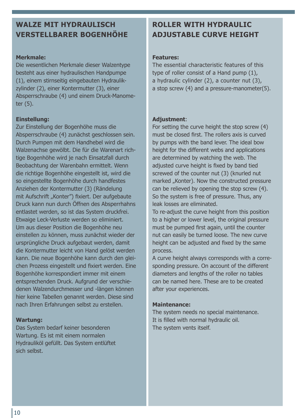#### **WALZE MIT HYDRAULISCH VERSTELLBARER BOGENHÖHE**

#### **Merkmale:**

Die wesentlichen Merkmale dieser Walzentype besteht aus einer hydraulischen Handpumpe (1), einem stirnseitig eingebauten Hydraulikzylinder (2), einer Kontermutter (3), einer Absperrschraube (4) und einem Druck-Manometer (5).

#### **Einstellung:**

Zur Einstellung der Bogenhöhe muss die Absperrschraube (4) zunächst geschlossen sein. Durch Pumpen mit dem Handhebel wird die Walzenachse gewölbt. Die für die Warenart richtige Bogenhöhe wird je nach Einsatzfall durch Beobachtung der Warenbahn ermittelt. Wenn die richtige Bogenhöhe eingestellt ist, wird die so eingestellte Bogenhöhe durch handfestes Anziehen der Kontermutter (3) (Rändelung mit Aufschrift "Konter") fixiert. Der aufgebaute Druck kann nun durch Öffnen des Absperrhahns entlastet werden, so ist das System druckfrei. Etwaige Leck-Verluste werden so eliminiert. Um aus dieser Position die Bogenhöhe neu einstellen zu können, muss zunächst wieder der ursprüngliche Druck aufgebaut werden, damit die Kontermutter leicht von Hand gelöst werden kann. Die neue Bogenhöhe kann durch den gleichen Prozess eingestellt und fixiert werden. Eine Bogenhöhe korrespondiert immer mit einem entsprechenden Druck. Aufgrund der verschiedenen Walzendurchmesser und -längen können hier keine Tabellen genannt werden. Diese sind nach Ihren Erfahrungen selbst zu erstellen.

#### **Wartung:**

Das System bedarf keiner besonderen Wartung. Es ist mit einem normalen Hydrauliköl gefüllt. Das System entlüftet sich selbst.

#### **ROLLER WITH HYDRAULIC ADJUSTABLE CURVE HEIGHT**

#### **Features:**

The essential characteristic features of this type of roller consist of a Hand pump (1), a hydraulic cylinder (2), a counter nut (3), a stop screw (4) and a pressure-manometer(5).

#### **Adjustment**:

For setting the curve height the stop screw (4) must be closed first. The rollers axis is curved by pumps with the band lever. The ideal bow height for the different webs and applications are determined by watching the web. The adjusted curve height is fixed by band tied screwed of the counter nut (3) (knurled nut marked "Konter). Now the constructed pressure can be relieved by opening the stop screw (4). So the system is free of pressure. Thus, any leak losses are eliminated.

To re-adjust the curve height from this position to a higher or lower level, the original pressure must be pumped first again, until the counter nut can easily be turned loose. The new curve height can be adjusted and fixed by the same process.

A curve height always corresponds with a corresponding pressure. On account of the different diameters and lengths of the roller no tables can be named here. These are to be created after your experiences.

#### **Maintenance:**

The system needs no special maintenance. It is filled with normal hydraulic oil. The system vents itself.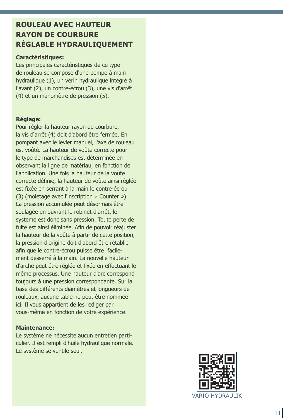#### **ROULEAU AVEC HAUTEUR RAYON DE COURBURE RÉGLABLE HYDRAULIQUEMENT**

#### **Caractéristiques:**

Les principales caractéristiques de ce type de rouleau se compose d'une pompe à main hydraulique (1), un vérin hydraulique intégré à l'avant (2), un contre-écrou (3), une vis d'arrêt (4) et un manomètre de pression (5).

#### **Réglage:**

Pour régler la hauteur rayon de courbure, la vis d'arrêt (4) doit d'abord être fermée. En pompant avec le levier manuel, l'axe de rouleau est voûté. La hauteur de voûte correcte pour le type de marchandises est déterminée en observant la ligne de matériau, en fonction de l'application. Une fois la hauteur de la voûte correcte définie, la hauteur de voûte ainsi réglée est fixée en serrant à la main le contre-écrou (3) (moletage avec l'inscription « Counter »). La pression accumulée peut désormais être soulagée en ouvrant le robinet d'arrêt, le système est donc sans pression. Toute perte de fuite est ainsi éliminée. Afin de pouvoir réajuster la hauteur de la voûte à partir de cette position, la pression d'origine doit d'abord être rétablie afin que le contre-écrou puisse être facilement desserré à la main. La nouvelle hauteur d'arche peut être réglée et fixée en effectuant le même processus. Une hauteur d'arc correspond toujours à une pression correspondante. Sur la base des différents diamètres et longueurs de rouleaux, aucune table ne peut être nommée ici. Il vous appartient de les rédiger par vous-même en fonction de votre expérience.

#### **Maintenance:**

Le système ne nécessite aucun entretien particulier. Il est rempli d'huile hydraulique normale. Le système se ventile seul.

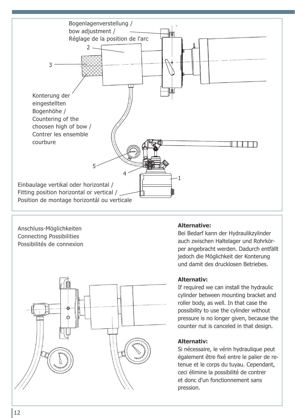



auch zwischen Haltelager und Rohrkörper angebracht werden. Dadurch entfällt jedoch die Möglichkeit der Konterung und damit des drucklosen Betriebes.

#### **Alternativ:**

If required we can install the hydraulic cylinder between mounting bracket and roller body, as well. In that case the possibility to use the cylinder without pressure is no longer given, because the counter nut is canceled in that design.

#### **Alternativ:**

Si nécessaire, le vérin hydraulique peut également être fixé entre le palier de retenue et le corps du tuyau. Cependant, ceci élimine la possibilité de contrer et donc d'un fonctionnement sans pression.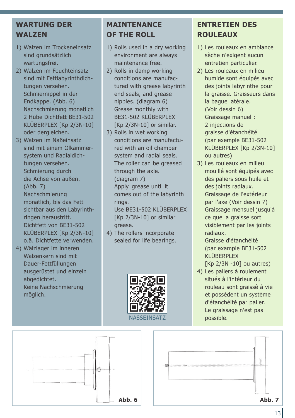#### **WARTUNG DER WALZEN**

- 1) Walzen im Trockeneinsatz sind grundsätzlich wartungsfrei.
- 2) Walzen im Feuchteinsatz sind mit Fettlabyrinthdichtungen versehen. Schmiernippel in der Endkappe. (Abb. 6) Nachschmierung monatlich 2 Hübe Dichtfett BE31-502 KLÜBERPLEX [Kp 2/3N-10] oder dergleichen.
- 3) Walzen im Naßeinsatz sind mit einem Ölkammersystem und Radialdichtungen versehen. Schmierung durch die Achse von außen. (Abb. 7) Nachschmierung monatlich, bis das Fett sichtbar aus den Labyrinthringen heraustritt. Dichtfett von BE31-502 KLÜBERPLEX [Kp 2/3N-10] o.ä. Dichtfette verwenden.
- 4) Wälzlager im inneren Walzenkern sind mit Dauer-Fettfüllungen ausgerüstet und einzeln abgedichtet. Keine Nachschmierung möglich.

#### **MAINTENANCE OF THE ROLL**

- 1) Rolls used in a dry working environment are always maintenance free.
- 2) Rolls in damp working conditions are manufactured with grease labyrinth end seals, and grease nipples. (diagram 6) Grease monthly with BE31-502 KLÜBERPLEX [Kp 2/3N-10] or similar.
- 3) Rolls in wet working conditions are manufactured with an oil chamber system and radial seals. The roller can be greased through the axle. (diagram 7) Apply grease until it comes out of the labyrinth rings. Use BE31-502 KLÜBERPLEX [Kp 2/3N-10] or similar grease.
- 4) The rollers incorporate sealed for life bearings.



### **ENTRETIEN DES ROULEAUX**

- 1) Les rouleaux en ambiance sèche n'exigent aucun entretien particulier.
- 2) Les rouleaux en milieu humide sont équipés avec des joints labyrinthe pour la graisse. Graisseurs dans la bague latérale. (Voir dessin 6) Graissage manuel : 2 injections de graisse d'étanchéïté (par exemple BE31-502 KLÜBERPLEX [Kp 2/3N-10] ou autres)
- 3) Les rouleaux en milieu mouillé sont équipés avec des paliers sous huile et des joints radiaux. Graissage de l'extérieur par l'axe (Voir dessin 7) Graissage mensuel jusqu'à ce que la graisse sort visiblement par les joints radiaux.

Graisse d'étanchéité (par example BE31-502 KLÜBERPLEX  $[Kp 2/3N - 10]$  ou autres)

4) Les paliers à roulement situés à l'intérieur du rouleau sont graissê à vie et possèdent un système d'étanchéité par palier. Le graissage n'est pas possible.



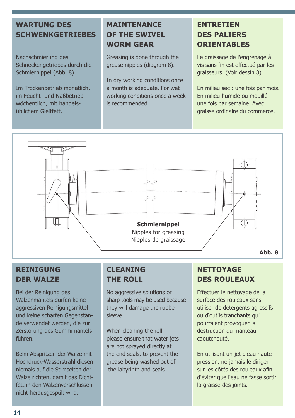### **WARTUNG DES SCHWENKGETRIEBES**

Nachschmierung des Schneckengetriebes durch die Schmiernippel (Abb. 8).

Im Trockenbetrieb monatlich, im Feucht- und Naßbetrieb wöchentlich, mit handelsüblichem Gleitfett.

#### **MAINTENANCE OF THE SWIVEL WORM GEAR**

Greasing is done through the grease nipples (diagram 8).

In dry working conditions once a month is adequate. For wet working conditions once a week is recommended.

#### **ENTRETIEN DES PALIERS ORIENTABLES**

Le graissage de l'engrenage à vis sans fin est effectué par les graisseurs. (Voir dessin 8)

En milieu sec : une fois par mois. En milieu humide ou mouillé : une fois par semaine. Avec graisse ordinaire du commerce.



### **REINIGUNG DER WALZE**

Bei der Reinigung des Walzenmantels dürfen keine aggressiven Reinigungsmittel und keine scharfen Gegenstände verwendet werden, die zur Zerstörung des Gummimantels führen.

Beim Abspritzen der Walze mit Hochdruck-Wasserstrahl diesen niemals auf die Stirnseiten der Walze richten, damit das Dichtfett in den Walzenverschlüssen nicht herausgespült wird.

#### **CLEANING THE ROLL**

No aggressive solutions or sharp tools may be used because they will damage the rubber sleeve.

When cleaning the roll please ensure that water jets are not sprayed directly at the end seals, to prevent the grease being washed out of the labyrinth and seals.

### **NETTOYAGE DES ROULEAUX**

Effectuer le nettoyage de la surface des rouleaux sans utiliser de détergents agressifs ou d'outils tranchants qui pourraient provoquer la destruction du manteau caoutchouté.

En utilisant un jet d'eau haute pression, ne jamais le diriger sur les côtés des rouleaux afin d'éviter que l'eau ne fasse sortir la graisse des joints.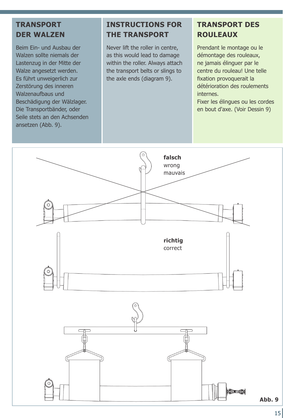#### **TRANSPORT DER WALZEN**

Beim Ein- und Ausbau der Walzen sollte niemals der Lastenzug in der Mitte der Walze angesetzt werden. Es führt unweigerlich zur Zerstörung des inneren Walzenaufbaus und Beschädigung der Wälzlager. Die Transportbänder, oder Seile stets an den Achsenden ansetzen (Abb. 9).

#### **INSTRUCTIONS FOR THE TRANSPORT**

Never lift the roller in centre, as this would lead to damage within the roller. Always attach the transport belts or slings to the axle ends (diagram 9).

### **TRANSPORT DES ROULEAUX**

Prendant le montage ou le démontage des rouleaux, ne jamais élinguer par le centre du rouleau! Une telle fixation provoquerait la détérioration des roulements internes.

Fixer les élingues ou les cordes en bout d'axe. (Voir Dessin 9)